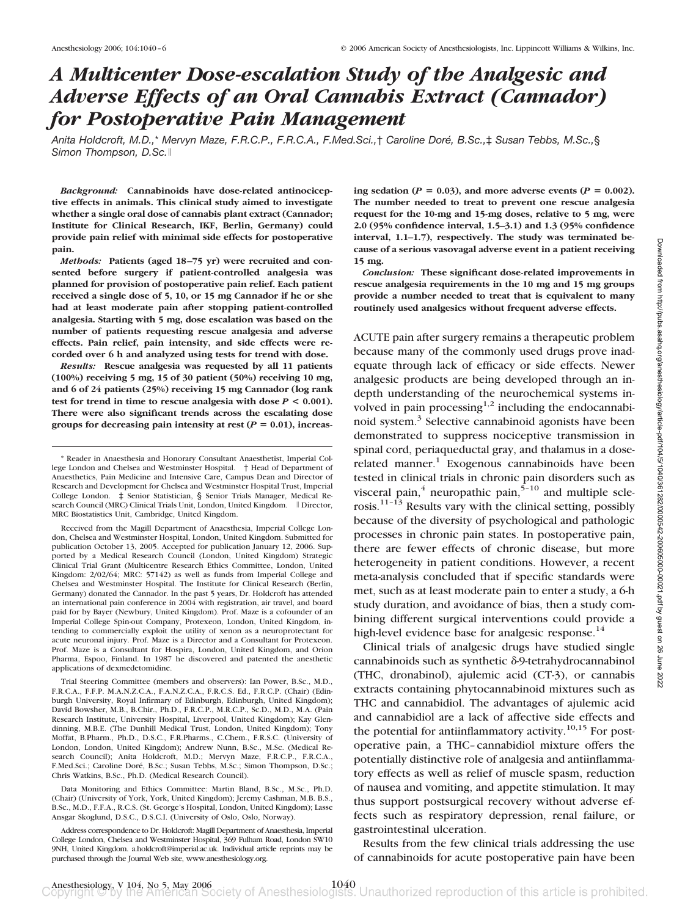# *A Multicenter Dose-escalation Study of the Analgesic and Adverse Effects of an Oral Cannabis Extract (Cannador) for Postoperative Pain Management*

*Anita Holdcroft, M.D.,*\* *Mervyn Maze, F.R.C.P., F.R.C.A., F.Med.Sci.,*† *Caroline Dore´ , B.Sc.,*‡ *Susan Tebbs, M.Sc.,*§ *Simon Thompson, D.Sc.*

*Background:* **Cannabinoids have dose-related antinociceptive effects in animals. This clinical study aimed to investigate whether a single oral dose of cannabis plant extract (Cannador; Institute for Clinical Research, IKF, Berlin, Germany) could provide pain relief with minimal side effects for postoperative pain.**

*Methods:* **Patients (aged 18–75 yr) were recruited and consented before surgery if patient-controlled analgesia was planned for provision of postoperative pain relief. Each patient received a single dose of 5, 10, or 15 mg Cannador if he or she had at least moderate pain after stopping patient-controlled analgesia. Starting with 5 mg, dose escalation was based on the number of patients requesting rescue analgesia and adverse effects. Pain relief, pain intensity, and side effects were recorded over 6 h and analyzed using tests for trend with dose.**

*Results:* **Rescue analgesia was requested by all 11 patients (100%) receiving 5 mg, 15 of 30 patient (50%) receiving 10 mg, and 6 of 24 patients (25%) receiving 15 mg Cannador (log rank test for trend in time to rescue analgesia with dose** *P* **< 0.001). There were also significant trends across the escalating dose** groups for decreasing pain intensity at rest  $(P = 0.01)$ , increas-

Received from the Magill Department of Anaesthesia, Imperial College London, Chelsea and Westminster Hospital, London, United Kingdom. Submitted for publication October 13, 2005. Accepted for publication January 12, 2006. Supported by a Medical Research Council (London, United Kingdom) Strategic Clinical Trial Grant (Multicentre Research Ethics Committee, London, United Kingdom: 2/02/64; MRC: 57142) as well as funds from Imperial College and Chelsea and Westminster Hospital. The Institute for Clinical Research (Berlin, Germany) donated the Cannador. In the past 5 years, Dr. Holdcroft has attended an international pain conference in 2004 with registration, air travel, and board paid for by Bayer (Newbury, United Kingdom). Prof. Maze is a cofounder of an Imperial College Spin-out Company, Protexeon, London, United Kingdom, intending to commercially exploit the utility of xenon as a neuroprotectant for acute neuronal injury. Prof. Maze is a Director and a Consultant for Protexeon. Prof. Maze is a Consultant for Hospira, London, United Kingdom, and Orion Pharma, Espoo, Finland. In 1987 he discovered and patented the anesthetic applications of dexmedetomidine.

Trial Steering Committee (members and observers): Ian Power, B.Sc., M.D., F.R.C.A., F.F.P. M.A.N.Z.C.A., F.A.N.Z.C.A., F.R.C.S. Ed., F.R.C.P. (Chair) (Edinburgh University, Royal Infirmary of Edinburgh, Edinburgh, United Kingdom); David Bowsher, M.B., B.Chir., Ph.D., F.R.C.P., M.R.C.P., Sc.D., M.D., M.A. (Pain Research Institute, University Hospital, Liverpool, United Kingdom); Kay Glendinning, M.B.E. (The Dunhill Medical Trust, London, United Kingdom); Tony Moffat, B.Pharm., Ph.D., D.S.C., F.R.Pharms., C.Chem., F.R.S.C. (University of London, London, United Kingdom); Andrew Nunn, B.Sc., M.Sc. (Medical Research Council); Anita Holdcroft, M.D.; Mervyn Maze, F.R.C.P., F.R.C.A., F.Med.Sci.; Caroline Doré, B.Sc.; Susan Tebbs, M.Sc.; Simon Thompson, D.Sc.; Chris Watkins, B.Sc., Ph.D. (Medical Research Council).

Data Monitoring and Ethics Committee: Martin Bland, B.Sc., M.Sc., Ph.D. (Chair) (University of York, York, United Kingdom); Jeremy Cashman, M.B. B.S., B.Sc., M.D., F.F.A., R.C.S. (St. George's Hospital, London, United Kingdom); Lasse Ansgar Skoglund, D.S.C., D.S.C.I. (University of Oslo, Oslo, Norway).

Address correspondence to Dr. Holdcroft: Magill Department of Anaesthesia, Imperial College London, Chelsea and Westminster Hospital, 369 Fulham Road, London SW10 9NH, United Kingdom. a.holdcroft@imperial.ac.uk. Individual article reprints may be purchased through the Journal Web site, www.anesthesiology.org.

ing sedation ( $P = 0.03$ ), and more adverse events ( $P = 0.002$ ). **The number needed to treat to prevent one rescue analgesia request for the 10-mg and 15-mg doses, relative to 5 mg, were 2.0 (95% confidence interval, 1.5–3.1) and 1.3 (95% confidence interval, 1.1–1.7), respectively. The study was terminated because of a serious vasovagal adverse event in a patient receiving 15 mg.**

*Conclusion:* **These significant dose-related improvements in rescue analgesia requirements in the 10 mg and 15 mg groups provide a number needed to treat that is equivalent to many routinely used analgesics without frequent adverse effects.**

ACUTE pain after surgery remains a therapeutic problem because many of the commonly used drugs prove inadequate through lack of efficacy or side effects. Newer analgesic products are being developed through an indepth understanding of the neurochemical systems involved in pain processing<sup>1,2</sup> including the endocannabinoid system.<sup>3</sup> Selective cannabinoid agonists have been demonstrated to suppress nociceptive transmission in spinal cord, periaqueductal gray, and thalamus in a doserelated manner. $1$  Exogenous cannabinoids have been tested in clinical trials in chronic pain disorders such as visceral pain,<sup>4</sup> neuropathic pain,<sup>5-10</sup> and multiple sclerosis.<sup>11-13</sup> Results vary with the clinical setting, possibly because of the diversity of psychological and pathologic processes in chronic pain states. In postoperative pain, there are fewer effects of chronic disease, but more heterogeneity in patient conditions. However, a recent meta-analysis concluded that if specific standards were met, such as at least moderate pain to enter a study, a 6-h study duration, and avoidance of bias, then a study combining different surgical interventions could provide a high-level evidence base for analgesic response.<sup>14</sup>

Clinical trials of analgesic drugs have studied single cannabinoids such as synthetic  $\delta$ -9-tetrahydrocannabinol (THC, dronabinol), ajulemic acid (CT-3), or cannabis extracts containing phytocannabinoid mixtures such as THC and cannabidiol. The advantages of ajulemic acid and cannabidiol are a lack of affective side effects and the potential for antiinflammatory activity.<sup>10,15</sup> For postoperative pain, a THC–cannabidiol mixture offers the potentially distinctive role of analgesia and antiinflammatory effects as well as relief of muscle spasm, reduction of nausea and vomiting, and appetite stimulation. It may thus support postsurgical recovery without adverse effects such as respiratory depression, renal failure, or gastrointestinal ulceration.

Results from the few clinical trials addressing the use of cannabinoids for acute postoperative pain have been

<sup>\*</sup> Reader in Anaesthesia and Honorary Consultant Anaesthetist, Imperial College London and Chelsea and Westminster Hospital. † Head of Department of Anaesthetics, Pain Medicine and Intensive Care, Campus Dean and Director of Research and Development for Chelsea and Westminster Hospital Trust, Imperial College London. ‡ Senior Statistician, § Senior Trials Manager, Medical Research Council (MRC) Clinical Trials Unit, London, United Kingdom. 
I Director, MRC Biostatistics Unit, Cambridge, United Kingdom.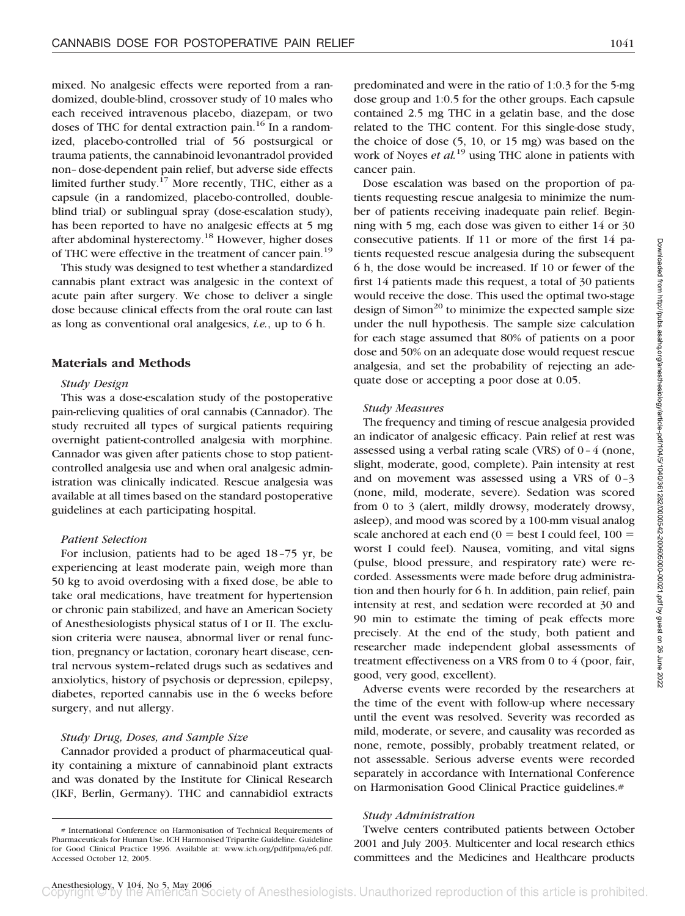mixed. No analgesic effects were reported from a randomized, double-blind, crossover study of 10 males who each received intravenous placebo, diazepam, or two doses of THC for dental extraction pain.<sup>16</sup> In a randomized, placebo-controlled trial of 56 postsurgical or trauma patients, the cannabinoid levonantradol provided non–dose-dependent pain relief, but adverse side effects limited further study.17 More recently, THC, either as a capsule (in a randomized, placebo-controlled, doubleblind trial) or sublingual spray (dose-escalation study), has been reported to have no analgesic effects at 5 mg after abdominal hysterectomy.18 However, higher doses of THC were effective in the treatment of cancer pain.<sup>19</sup>

This study was designed to test whether a standardized cannabis plant extract was analgesic in the context of acute pain after surgery. We chose to deliver a single dose because clinical effects from the oral route can last as long as conventional oral analgesics, *i.e.*, up to 6 h.

## **Materials and Methods**

## *Study Design*

This was a dose-escalation study of the postoperative pain-relieving qualities of oral cannabis (Cannador). The study recruited all types of surgical patients requiring overnight patient-controlled analgesia with morphine. Cannador was given after patients chose to stop patientcontrolled analgesia use and when oral analgesic administration was clinically indicated. Rescue analgesia was available at all times based on the standard postoperative guidelines at each participating hospital.

#### *Patient Selection*

For inclusion, patients had to be aged 18–75 yr, be experiencing at least moderate pain, weigh more than 50 kg to avoid overdosing with a fixed dose, be able to take oral medications, have treatment for hypertension or chronic pain stabilized, and have an American Society of Anesthesiologists physical status of I or II. The exclusion criteria were nausea, abnormal liver or renal function, pregnancy or lactation, coronary heart disease, central nervous system–related drugs such as sedatives and anxiolytics, history of psychosis or depression, epilepsy, diabetes, reported cannabis use in the 6 weeks before surgery, and nut allergy.

#### *Study Drug, Doses, and Sample Size*

Cannador provided a product of pharmaceutical quality containing a mixture of cannabinoid plant extracts and was donated by the Institute for Clinical Research (IKF, Berlin, Germany). THC and cannabidiol extracts predominated and were in the ratio of 1:0.3 for the 5-mg dose group and 1:0.5 for the other groups. Each capsule contained 2.5 mg THC in a gelatin base, and the dose related to the THC content. For this single-dose study, the choice of dose (5, 10, or 15 mg) was based on the work of Noyes *et al.*<sup>19</sup> using THC alone in patients with cancer pain.

Dose escalation was based on the proportion of patients requesting rescue analgesia to minimize the number of patients receiving inadequate pain relief. Beginning with 5 mg, each dose was given to either 14 or 30 consecutive patients. If 11 or more of the first 14 patients requested rescue analgesia during the subsequent 6 h, the dose would be increased. If 10 or fewer of the first 14 patients made this request, a total of 30 patients would receive the dose. This used the optimal two-stage design of  $Simon^{20}$  to minimize the expected sample size under the null hypothesis. The sample size calculation for each stage assumed that 80% of patients on a poor dose and 50% on an adequate dose would request rescue analgesia, and set the probability of rejecting an adequate dose or accepting a poor dose at 0.05.

#### *Study Measures*

The frequency and timing of rescue analgesia provided an indicator of analgesic efficacy. Pain relief at rest was assessed using a verbal rating scale (VRS) of  $0-4$  (none, slight, moderate, good, complete). Pain intensity at rest and on movement was assessed using a VRS of 0–3 (none, mild, moderate, severe). Sedation was scored from 0 to 3 (alert, mildly drowsy, moderately drowsy, asleep), and mood was scored by a 100-mm visual analog scale anchored at each end  $(0 = \text{best I could feel}, 100 =$ worst I could feel). Nausea, vomiting, and vital signs (pulse, blood pressure, and respiratory rate) were recorded. Assessments were made before drug administration and then hourly for 6 h. In addition, pain relief, pain intensity at rest, and sedation were recorded at 30 and 90 min to estimate the timing of peak effects more precisely. At the end of the study, both patient and researcher made independent global assessments of treatment effectiveness on a VRS from 0 to 4 (poor, fair, good, very good, excellent).

Adverse events were recorded by the researchers at the time of the event with follow-up where necessary until the event was resolved. Severity was recorded as mild, moderate, or severe, and causality was recorded as none, remote, possibly, probably treatment related, or not assessable. Serious adverse events were recorded separately in accordance with International Conference on Harmonisation Good Clinical Practice guidelines.#

#### *Study Administration*

Twelve centers contributed patients between October 2001 and July 2003. Multicenter and local research ethics committees and the Medicines and Healthcare products

<sup>#</sup> International Conference on Harmonisation of Technical Requirements of Pharmaceuticals for Human Use. ICH Harmonised Tripartite Guideline. Guideline for Good Clinical Practice 1996. Available at: www.ich.org/pdfifpma/e6.pdf. Accessed October 12, 2005.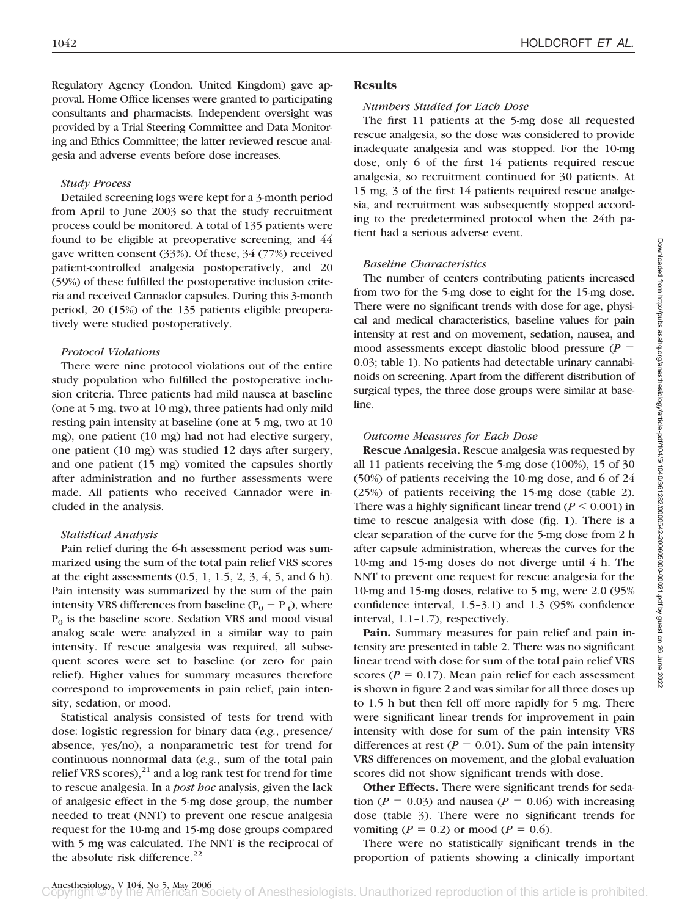Regulatory Agency (London, United Kingdom) gave approval. Home Office licenses were granted to participating consultants and pharmacists. Independent oversight was provided by a Trial Steering Committee and Data Monitoring and Ethics Committee; the latter reviewed rescue analgesia and adverse events before dose increases.

## *Study Process*

Detailed screening logs were kept for a 3-month period from April to June 2003 so that the study recruitment process could be monitored. A total of 135 patients were found to be eligible at preoperative screening, and 44 gave written consent (33%). Of these, 34 (77%) received patient-controlled analgesia postoperatively, and 20 (59%) of these fulfilled the postoperative inclusion criteria and received Cannador capsules. During this 3-month period, 20 (15%) of the 135 patients eligible preoperatively were studied postoperatively.

## *Protocol Violations*

There were nine protocol violations out of the entire study population who fulfilled the postoperative inclusion criteria. Three patients had mild nausea at baseline (one at 5 mg, two at 10 mg), three patients had only mild resting pain intensity at baseline (one at 5 mg, two at 10 mg), one patient (10 mg) had not had elective surgery, one patient (10 mg) was studied 12 days after surgery, and one patient (15 mg) vomited the capsules shortly after administration and no further assessments were made. All patients who received Cannador were included in the analysis.

#### *Statistical Analysis*

Pain relief during the 6-h assessment period was summarized using the sum of the total pain relief VRS scores at the eight assessments  $(0.5, 1, 1.5, 2, 3, 4, 5,$  and 6 h). Pain intensity was summarized by the sum of the pain intensity VRS differences from baseline ( $P_0 - P_t$ ), where  $P<sub>0</sub>$  is the baseline score. Sedation VRS and mood visual analog scale were analyzed in a similar way to pain intensity. If rescue analgesia was required, all subsequent scores were set to baseline (or zero for pain relief). Higher values for summary measures therefore correspond to improvements in pain relief, pain intensity, sedation, or mood.

Statistical analysis consisted of tests for trend with dose: logistic regression for binary data (*e.g.*, presence/ absence, yes/no), a nonparametric test for trend for continuous nonnormal data (*e.g.*, sum of the total pain relief VRS scores), $^{21}$  and a log rank test for trend for time to rescue analgesia. In a *post hoc* analysis, given the lack of analgesic effect in the 5-mg dose group, the number needed to treat (NNT) to prevent one rescue analgesia request for the 10-mg and 15-mg dose groups compared with 5 mg was calculated. The NNT is the reciprocal of the absolute risk difference.<sup>22</sup>

#### **Results**

#### *Numbers Studied for Each Dose*

The first 11 patients at the 5-mg dose all requested rescue analgesia, so the dose was considered to provide inadequate analgesia and was stopped. For the 10-mg dose, only 6 of the first 14 patients required rescue analgesia, so recruitment continued for 30 patients. At 15 mg, 3 of the first 14 patients required rescue analgesia, and recruitment was subsequently stopped according to the predetermined protocol when the 24th patient had a serious adverse event.

## *Baseline Characteristics*

The number of centers contributing patients increased from two for the 5-mg dose to eight for the 15-mg dose. There were no significant trends with dose for age, physical and medical characteristics, baseline values for pain intensity at rest and on movement, sedation, nausea, and mood assessments except diastolic blood pressure (*P* 0.03; table 1). No patients had detectable urinary cannabinoids on screening. Apart from the different distribution of surgical types, the three dose groups were similar at baseline.

#### *Outcome Measures for Each Dose*

**Rescue Analgesia.** Rescue analgesia was requested by all 11 patients receiving the 5-mg dose (100%), 15 of 30 (50%) of patients receiving the 10-mg dose, and 6 of 24 (25%) of patients receiving the 15-mg dose (table 2). There was a highly significant linear trend  $(P \le 0.001)$  in time to rescue analgesia with dose (fig. 1). There is a clear separation of the curve for the 5-mg dose from 2 h after capsule administration, whereas the curves for the 10-mg and 15-mg doses do not diverge until 4 h. The NNT to prevent one request for rescue analgesia for the 10-mg and 15-mg doses, relative to 5 mg, were 2.0 (95% confidence interval, 1.5–3.1) and 1.3 (95% confidence interval, 1.1–1.7), respectively.

Pain. Summary measures for pain relief and pain intensity are presented in table 2. There was no significant linear trend with dose for sum of the total pain relief VRS scores ( $P = 0.17$ ). Mean pain relief for each assessment is shown in figure 2 and was similar for all three doses up to 1.5 h but then fell off more rapidly for 5 mg. There were significant linear trends for improvement in pain intensity with dose for sum of the pain intensity VRS differences at rest ( $P = 0.01$ ). Sum of the pain intensity VRS differences on movement, and the global evaluation scores did not show significant trends with dose.

**Other Effects.** There were significant trends for sedation ( $P = 0.03$ ) and nausea ( $P = 0.06$ ) with increasing dose (table 3). There were no significant trends for vomiting ( $P = 0.2$ ) or mood ( $P = 0.6$ ).

There were no statistically significant trends in the proportion of patients showing a clinically important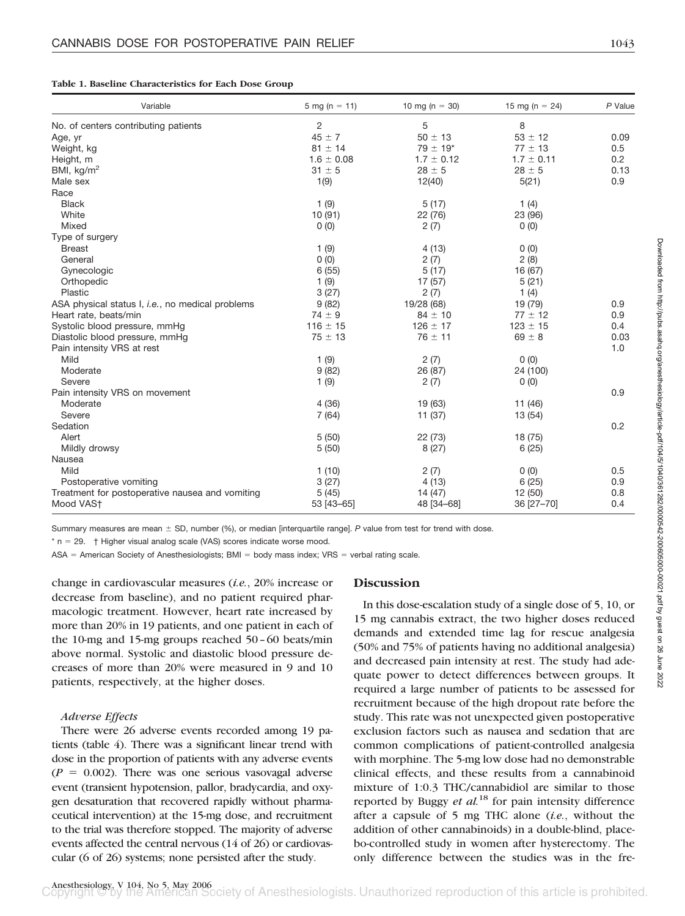|  |  |  | Table 1. Baseline Characteristics for Each Dose Group |  |  |  |  |
|--|--|--|-------------------------------------------------------|--|--|--|--|
|--|--|--|-------------------------------------------------------|--|--|--|--|

| Variable                                                 | 5 mg (n = 11)  | 10 mg ( $n = 30$ )       | 15 mg (n = $24$ ) | P Value |
|----------------------------------------------------------|----------------|--------------------------|-------------------|---------|
| No. of centers contributing patients                     | 2              | 5                        | 8                 |         |
| Age, yr                                                  | $45 \pm 7$     | $50 \pm 13$              | $53 \pm 12$       | 0.09    |
| Weight, kg                                               | $81 \pm 14$    | $79 \pm 19$ <sup>*</sup> | $77 \pm 13$       | 0.5     |
| Height, m                                                | $1.6 \pm 0.08$ | $1.7 \pm 0.12$           | $1.7 \pm 0.11$    | 0.2     |
| BMI, $kg/m2$                                             | $31 \pm 5$     | $28 \pm 5$               | $28 \pm 5$        | 0.13    |
| Male sex                                                 | 1(9)           | 12(40)                   | 5(21)             | 0.9     |
| Race                                                     |                |                          |                   |         |
| <b>Black</b>                                             | 1(9)           | 5(17)                    | 1 $(4)$           |         |
| White                                                    | 10(91)         | 22 (76)                  | 23 (96)           |         |
| Mixed                                                    | 0(0)           | 2(7)                     | 0(0)              |         |
| Type of surgery                                          |                |                          |                   |         |
| <b>Breast</b>                                            | 1(9)           | 4(13)                    | 0(0)              |         |
| General                                                  | 0(0)           | 2(7)                     | 2(8)              |         |
| Gynecologic                                              | 6(55)          | 5(17)                    | 16 (67)           |         |
| Orthopedic                                               | 1(9)           | 17(57)                   | 5(21)             |         |
| Plastic                                                  | 3(27)          | 2(7)                     | 1 $(4)$           |         |
| ASA physical status I, <i>i.e.</i> , no medical problems | 9(82)          | 19/28 (68)               | 19 (79)           | 0.9     |
| Heart rate, beats/min                                    | $74 \pm 9$     | $84 \pm 10$              | $77 \pm 12$       | 0.9     |
| Systolic blood pressure, mmHg                            | $116 \pm 15$   | $126 \pm 17$             | $123 \pm 15$      | 0.4     |
| Diastolic blood pressure, mmHg                           | $75 \pm 13$    | $76 \pm 11$              | $69 \pm 8$        | 0.03    |
| Pain intensity VRS at rest                               |                |                          |                   | 1.0     |
| Mild                                                     | 1(9)           | 2(7)                     | 0(0)              |         |
| Moderate                                                 | 9(82)          | 26 (87)                  | 24 (100)          |         |
| Severe                                                   | 1(9)           | 2(7)                     | 0(0)              |         |
| Pain intensity VRS on movement                           |                |                          |                   | 0.9     |
| Moderate                                                 | 4(36)          | 19 (63)                  | 11 (46)           |         |
| Severe                                                   | 7(64)          | 11 (37)                  | 13(54)            |         |
| Sedation                                                 |                |                          |                   | 0.2     |
| Alert                                                    | 5(50)          | 22(73)                   | 18(75)            |         |
| Mildly drowsy                                            | 5(50)          | 8(27)                    | 6(25)             |         |
| Nausea                                                   |                |                          |                   |         |
| Mild                                                     | 1(10)          | 2(7)                     | 0(0)              | 0.5     |
| Postoperative vomiting                                   | 3(27)          | 4(13)                    | 6(25)             | 0.9     |
| Treatment for postoperative nausea and vomiting          | 5(45)          | 14 (47)                  | 12 (50)           | 0.8     |
| Mood VAS+                                                | 53 [43-65]     | 48 [34-68]               | 36 [27-70]        | 0.4     |

Summary measures are mean  $\pm$  SD, number (%), or median [interquartile range]. P value from test for trend with dose.

 $*$  n = 29.  $\dagger$  Higher visual analog scale (VAS) scores indicate worse mood.

 $ASA =$  American Society of Anesthesiologists;  $BMI =$  body mass index;  $VRS =$  verbal rating scale.

change in cardiovascular measures (*i.e.*, 20% increase or decrease from baseline), and no patient required pharmacologic treatment. However, heart rate increased by more than 20% in 19 patients, and one patient in each of the 10-mg and 15-mg groups reached 50–60 beats/min above normal. Systolic and diastolic blood pressure decreases of more than 20% were measured in 9 and 10 patients, respectively, at the higher doses.

#### *Adverse Effects*

There were 26 adverse events recorded among 19 patients (table 4). There was a significant linear trend with dose in the proportion of patients with any adverse events  $(P = 0.002)$ . There was one serious vasovagal adverse event (transient hypotension, pallor, bradycardia, and oxygen desaturation that recovered rapidly without pharmaceutical intervention) at the 15-mg dose, and recruitment to the trial was therefore stopped. The majority of adverse events affected the central nervous (14 of 26) or cardiovascular (6 of 26) systems; none persisted after the study.

#### **Discussion**

In this dose-escalation study of a single dose of 5, 10, or 15 mg cannabis extract, the two higher doses reduced demands and extended time lag for rescue analgesia (50% and 75% of patients having no additional analgesia) and decreased pain intensity at rest. The study had adequate power to detect differences between groups. It required a large number of patients to be assessed for recruitment because of the high dropout rate before the study. This rate was not unexpected given postoperative exclusion factors such as nausea and sedation that are common complications of patient-controlled analgesia with morphine. The 5-mg low dose had no demonstrable clinical effects, and these results from a cannabinoid mixture of 1:0.3 THC/cannabidiol are similar to those reported by Buggy *et al.*<sup>18</sup> for pain intensity difference after a capsule of 5 mg THC alone (*i.e.*, without the addition of other cannabinoids) in a double-blind, placebo-controlled study in women after hysterectomy. The only difference between the studies was in the fre-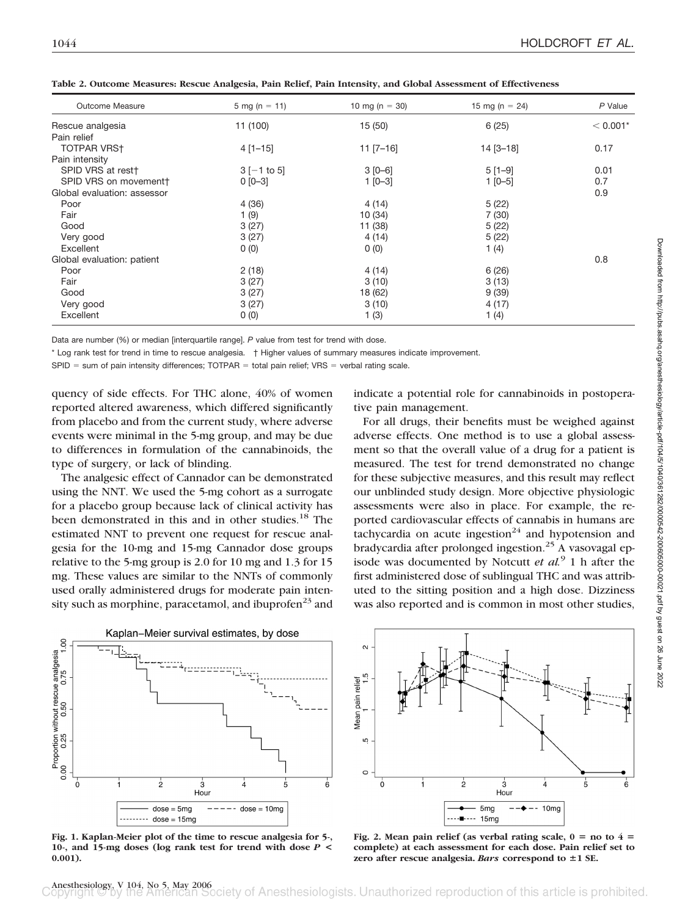| Table 2. Outcome Measures: Rescue Analgesia, Pain Relief, Pain Intensity, and Global Assessment of Effectiveness |
|------------------------------------------------------------------------------------------------------------------|
|------------------------------------------------------------------------------------------------------------------|

| Outcome Measure             | $5 \text{ mg} (n = 11)$ | 10 mg ( $n = 30$ ) | 15 mg (n = $24$ ) | P Value    |
|-----------------------------|-------------------------|--------------------|-------------------|------------|
| Rescue analgesia            | 11 (100)                | 15(50)             | 6(25)             | $< 0.001*$ |
| Pain relief                 |                         |                    |                   |            |
| <b>TOTPAR VRST</b>          | $4$ [1-15]              | $11 [7 - 16]$      | $14 [3 - 18]$     | 0.17       |
| Pain intensity              |                         |                    |                   |            |
| SPID VRS at rest†           | $3[-1 \text{ to } 5]$   | $3 [0 - 6]$        | $5[1-9]$          | 0.01       |
| SPID VRS on movementt       | $0 [0 - 3]$             | $1 [0 - 3]$        | $1$ [0-5]         | 0.7        |
| Global evaluation: assessor |                         |                    |                   | 0.9        |
| Poor                        | 4 (36)                  | 4(14)              | 5(22)             |            |
| Fair                        | 1(9)                    | 10(34)             | 7(30)             |            |
| Good                        | 3(27)                   | 11 (38)            | 5(22)             |            |
| Very good                   | 3(27)                   | 4(14)              | 5(22)             |            |
| Excellent                   | 0(0)                    | 0(0)               | 1(4)              |            |
| Global evaluation: patient  |                         |                    |                   | 0.8        |
| Poor                        | 2(18)                   | 4 (14)             | 6 (26)            |            |
| Fair                        | 3(27)                   | 3(10)              | 3(13)             |            |
| Good                        | 3(27)                   | 18 (62)            | 9(39)             |            |
| Very good                   | 3(27)                   | 3(10)              | 4(17)             |            |
| Excellent                   | 0(0)                    | 1(3)               | 1(4)              |            |

Data are number (%) or median [interquartile range]. *P* value from test for trend with dose.

\* Log rank test for trend in time to rescue analgesia. † Higher values of summary measures indicate improvement.

 $SPID = sum of pain intensity differences; TOTPAR = total pain relief; VRS = verbal rating scale.$ 

quency of side effects. For THC alone, 40% of women reported altered awareness, which differed significantly from placebo and from the current study, where adverse events were minimal in the 5-mg group, and may be due to differences in formulation of the cannabinoids, the type of surgery, or lack of blinding.

The analgesic effect of Cannador can be demonstrated using the NNT. We used the 5-mg cohort as a surrogate for a placebo group because lack of clinical activity has been demonstrated in this and in other studies.<sup>18</sup> The estimated NNT to prevent one request for rescue analgesia for the 10-mg and 15-mg Cannador dose groups relative to the 5-mg group is 2.0 for 10 mg and 1.3 for 15 mg. These values are similar to the NNTs of commonly used orally administered drugs for moderate pain intensity such as morphine, paracetamol, and ibuprofen $^{23}$  and



**Fig. 1. Kaplan-Meier plot of the time to rescue analgesia for 5-, 10-, and 15-mg doses (log rank test for trend with dose** *P* **< 0.001).**

indicate a potential role for cannabinoids in postoperative pain management.

For all drugs, their benefits must be weighed against adverse effects. One method is to use a global assessment so that the overall value of a drug for a patient is measured. The test for trend demonstrated no change for these subjective measures, and this result may reflect our unblinded study design. More objective physiologic assessments were also in place. For example, the reported cardiovascular effects of cannabis in humans are tachycardia on acute ingestion<sup>24</sup> and hypotension and bradycardia after prolonged ingestion. $^{25}$  A vasovagal episode was documented by Notcutt *et al.*<sup>9</sup> 1 h after the first administered dose of sublingual THC and was attributed to the sitting position and a high dose. Dizziness was also reported and is common in most other studies,



Fig. 2. Mean pain relief (as verbal rating scale,  $0 =$  no to  $4 =$ **complete) at each assessment for each dose. Pain relief set to** zero after rescue analgesia. Bars correspond to  $\pm 1$  SE.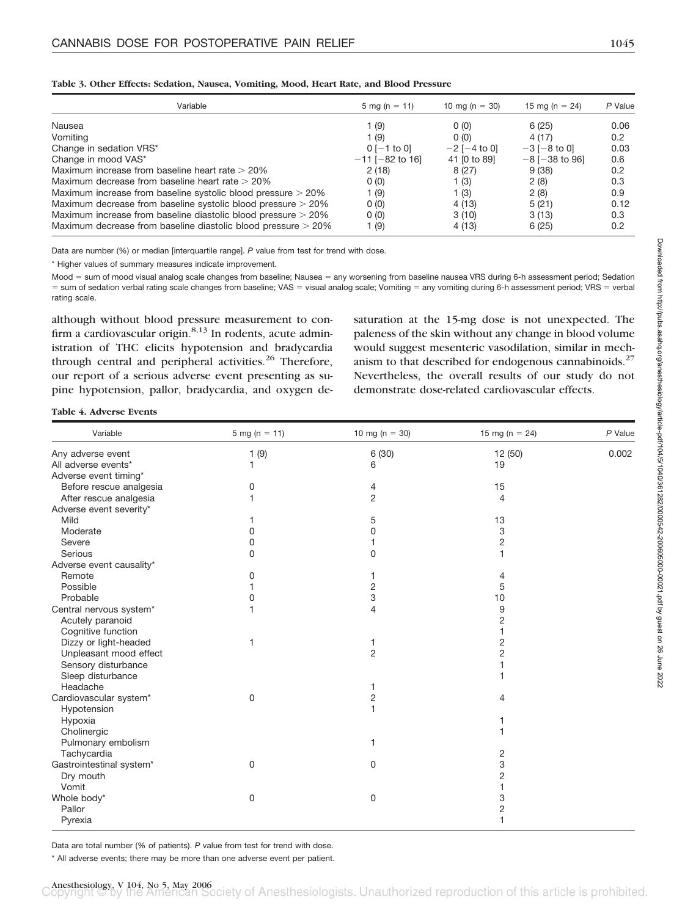## **Table 3. Other Effects: Sedation, Nausea, Vomiting, Mood, Heart Rate, and Blood Pressure**

| Variable                                                        | 5 mg (n = 11)        | 10 mg (n = 30)    | 15 mg (n = 24)         | P Value       |
|-----------------------------------------------------------------|----------------------|-------------------|------------------------|---------------|
| Nausea                                                          | 1 (9)                | 0(0)              | 6(25)                  | 0.06          |
| Vomiting                                                        | 1 (9)                | 0(0)              | 4 (17)                 | $0.2^{\circ}$ |
| Change in sedation VRS*                                         | $0$ [-1 to 0]        | $-2$ [ $-4$ to 0] | $-3[-8 \text{ to } 0]$ | 0.03          |
| Change in mood VAS*                                             | $-11$ [ $-82$ to 16] | 41 [0 to 89]      | $-8$ [ $-38$ to 96]    | 0.6           |
| Maximum increase from baseline heart rate > 20%                 | 2(18)                | 8(27)             | 9(38)                  | 0.2           |
| Maximum decrease from baseline heart rate $>$ 20%               | 0(0)                 | 1 $(3)$           | 2(8)                   | 0.3           |
| Maximum increase from baseline systolic blood pressure > 20%    | 1 (9)                | 1 $(3)$           | 2(8)                   | 0.9           |
| Maximum decrease from baseline systolic blood pressure $>$ 20%  | 0(0)                 | 4(13)             | 5(21)                  | 0.12          |
| Maximum increase from baseline diastolic blood pressure $>$ 20% | 0(0)                 | 3(10)             | 3(13)                  | 0.3           |
| Maximum decrease from baseline diastolic blood pressure > 20%   | 1 (9)                | 4 (13)            | 6(25)                  | 0.2           |

Data are number (%) or median [interquartile range]. P value from test for trend with dose.

\* Higher values of summary measures indicate improvement.

Mood = sum of mood visual analog scale changes from baseline; Nausea = any worsening from baseline nausea VRS during 6-h assessment period; Sedation = sum of sedation verbal rating scale changes from baseline; VAS = visual analog scale; Vomiting = any vomiting during 6-h assessment period; VRS = verbal rating scale.

although without blood pressure measurement to confirm a cardiovascular origin. $8,13$  In rodents, acute administration of THC elicits hypotension and bradycardia through central and peripheral activities.<sup>26</sup> Therefore, our report of a serious adverse event presenting as supine hypotension, pallor, bradycardia, and oxygen de-

saturation at the 15-mg dose is not unexpected. The paleness of the skin without any change in blood volume would suggest mesenteric vasodilation, similar in mechanism to that described for endogenous cannabinoids. $27$ Nevertheless, the overall results of our study do not demonstrate dose-related cardiovascular effects.

**Table 4. Adverse Events**

| Variable                 | 5 mg ( $n = 11$ ) | 10 mg ( $n = 30$ ) | 15 mg ( $n = 24$ ) | P Value |
|--------------------------|-------------------|--------------------|--------------------|---------|
| Any adverse event        | 1(9)              | 6 (30)             | 12 (50)            | 0.002   |
| All adverse events*      | 1                 | 6                  | 19                 |         |
| Adverse event timing*    |                   |                    |                    |         |
| Before rescue analgesia  | 0                 | 4                  | 15                 |         |
| After rescue analgesia   |                   | $\overline{2}$     | $\overline{4}$     |         |
| Adverse event severity*  |                   |                    |                    |         |
| Mild                     |                   | 5                  | 13                 |         |
| Moderate                 | 0                 | 0                  | 3                  |         |
| Severe                   | 0                 |                    | $\overline{2}$     |         |
| Serious                  | 0                 | 0                  | 1                  |         |
| Adverse event causality* |                   |                    |                    |         |
| Remote                   | 0                 | 1                  | $\overline{4}$     |         |
| Possible                 |                   | 2                  | 5                  |         |
| Probable                 | 0                 | 3                  | 10                 |         |
| Central nervous system*  |                   | 4                  | 9                  |         |
| Acutely paranoid         |                   |                    | 2                  |         |
| Cognitive function       |                   |                    | 1                  |         |
| Dizzy or light-headed    |                   | 1                  | $\overline{2}$     |         |
| Unpleasant mood effect   |                   | $\overline{2}$     | 2                  |         |
| Sensory disturbance      |                   |                    |                    |         |
| Sleep disturbance        |                   |                    |                    |         |
| Headache                 |                   | 1                  |                    |         |
| Cardiovascular system*   | 0                 | 2                  | 4                  |         |
| Hypotension              |                   |                    |                    |         |
| Hypoxia                  |                   |                    |                    |         |
| Cholinergic              |                   |                    |                    |         |
| Pulmonary embolism       |                   | 1                  |                    |         |
| Tachycardia              |                   |                    | 2                  |         |
| Gastrointestinal system* | 0                 | 0                  | 3                  |         |
| Dry mouth                |                   |                    | 2                  |         |
| Vomit                    |                   |                    |                    |         |
| Whole body*              | 0                 | $\mathbf 0$        | 3                  |         |
| Pallor                   |                   |                    | $\overline{c}$     |         |
| Pyrexia                  |                   |                    | 1                  |         |
|                          |                   |                    |                    |         |

Data are total number (% of patients). *P* value from test for trend with dose.

\* All adverse events; there may be more than one adverse event per patient.